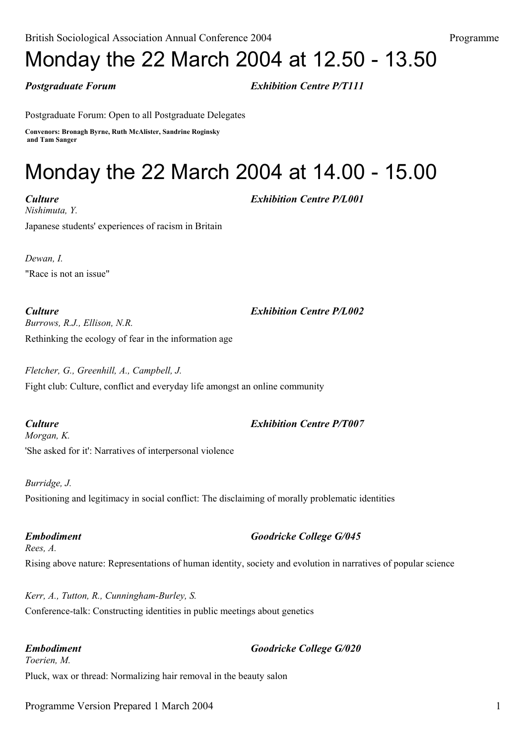## Monday the 22 March 2004 at 12.50 - 13.50

*Postgraduate Forum Exhibition Centre P/T111*

Postgraduate Forum: Open to all Postgraduate Delegates

**Convenors: Bronagh Byrne, Ruth McAlister, Sandrine Roginsky and Tam Sanger**

# Monday the 22 March 2004 at 14.00 - 15.00

*Culture Exhibition Centre P/L001 Nishimuta, Y.* Japanese students' experiences of racism in Britain

*Dewan, I.* "Race is not an issue"

*Culture Exhibition Centre P/L002*

*Burrows, R.J., Ellison, N.R.* Rethinking the ecology of fear in the information age

*Fletcher, G., Greenhill, A., Campbell, J.* Fight club: Culture, conflict and everyday life amongst an online community

*Culture Exhibition Centre P/T007 Morgan, K.* 'She asked for it': Narratives of interpersonal violence

*Burridge, J.* Positioning and legitimacy in social conflict: The disclaiming of morally problematic identities

*Embodiment Goodricke College G/045 Rees, A.* Rising above nature: Representations of human identity, society and evolution in narratives of popular science

*Kerr, A., Tutton, R., Cunningham-Burley, S.* Conference-talk: Constructing identities in public meetings about genetics

*Embodiment Goodricke College G/020 Toerien, M.* Pluck, wax or thread: Normalizing hair removal in the beauty salon

Programme Version Prepared 1 March 2004 1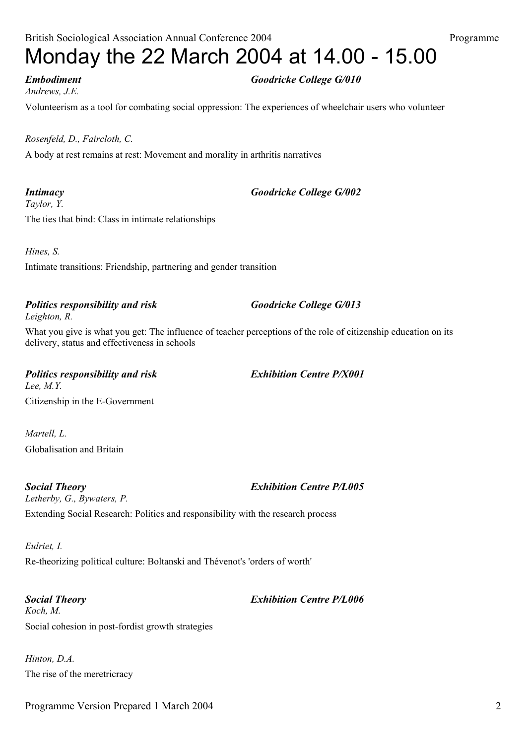## British Sociological Association Annual Conference 2004 Programme Monday the 22 March 2004 at 14.00 - 15.00

*Andrews, J.E.*

Volunteerism as a tool for combating social oppression: The experiences of wheelchair users who volunteer

### *Rosenfeld, D., Faircloth, C.*

A body at rest remains at rest: Movement and morality in arthritis narratives

*Taylor, Y.* The ties that bind: Class in intimate relationships

*Hines, S.* Intimate transitions: Friendship, partnering and gender transition

### *Politics responsibility and risk Goodricke College G/013 Leighton, R.*

What you give is what you get: The influence of teacher perceptions of the role of citizenship education on its

delivery, status and effectiveness in schools

*Politics responsibility and risk Exhibition Centre P/X001 Lee, M.Y.* Citizenship in the E-Government

*Martell, L.* Globalisation and Britain

*Social Theory Exhibition Centre P/L005 Letherby, G., Bywaters, P.* Extending Social Research: Politics and responsibility with the research process

*Eulriet, I.* Re-theorizing political culture: Boltanski and Thévenot's 'orders of worth'

*Social Theory Exhibition Centre P/L006 Koch, M.* Social cohesion in post-fordist growth strategies

*Hinton, D.A.* The rise of the meretricracy

## *Intimacy Goodricke College G/002*

*Embodiment Goodricke College G/010*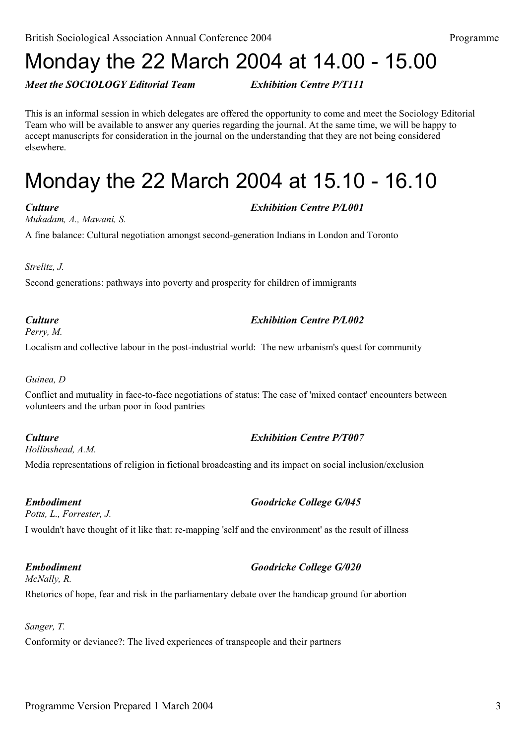## Monday the 22 March 2004 at 14.00 - 15.00

*Meet the SOCIOLOGY Editorial Team Exhibition Centre P/T111*

This is an informal session in which delegates are offered the opportunity to come and meet the Sociology Editorial Team who will be available to answer any queries regarding the journal. At the same time, we will be happy to accept manuscripts for consideration in the journal on the understanding that they are not being considered elsewhere.

## Monday the 22 March 2004 at 15.10 - 16.10

*Mukadam, A., Mawani, S.*

A fine balance: Cultural negotiation amongst second-generation Indians in London and Toronto

*Strelitz, J.*

Second generations: pathways into poverty and prosperity for children of immigrants

### *Culture Exhibition Centre P/L002*

*Perry, M.*

Localism and collective labour in the post-industrial world: The new urbanism's quest for community

### *Guinea, D*

Conflict and mutuality in face-to-face negotiations of status: The case of 'mixed contact' encounters between volunteers and the urban poor in food pantries

### *Culture Exhibition Centre P/T007*

*Hollinshead, A.M.*

Media representations of religion in fictional broadcasting and its impact on social inclusion/exclusion

*Potts, L., Forrester, J.* I wouldn't have thought of it like that: re-mapping 'self and the environment' as the result of illness

## *Embodiment Goodricke College G/020*

*McNally, R.* Rhetorics of hope, fear and risk in the parliamentary debate over the handicap ground for abortion

### *Sanger, T.*

Conformity or deviance?: The lived experiences of transpeople and their partners

## *Culture Exhibition Centre P/L001*

## *Embodiment Goodricke College G/045*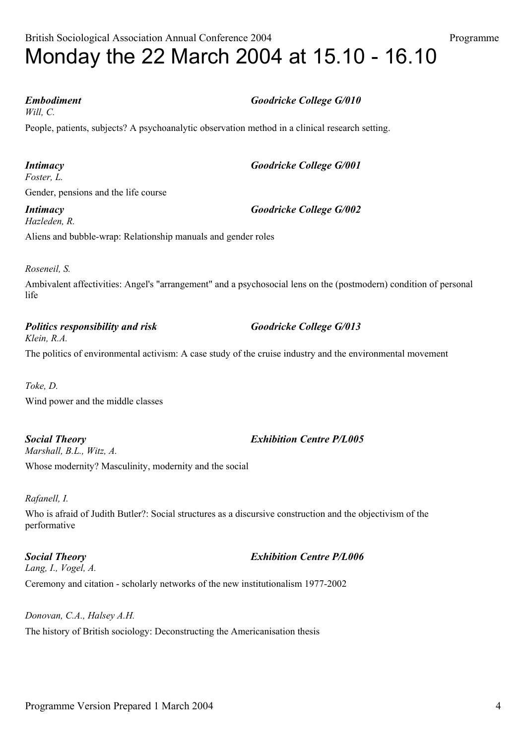British Sociological Association Annual Conference 2004 Programme Monday the 22 March 2004 at 15.10 - 16.10

### *Embodiment Goodricke College G/010*

*Will, C.*

People, patients, subjects? A psychoanalytic observation method in a clinical research setting.

*Intimacy Goodricke College G/001 Foster, L.* Gender, pensions and the life course

*Intimacy Goodricke College G/002 Hazleden, R.*

Aliens and bubble-wrap: Relationship manuals and gender roles

*Roseneil, S.*

Ambivalent affectivities: Angel's "arrangement" and a psychosocial lens on the (postmodern) condition of personal life

*Politics responsibility and risk Goodricke College G/013 Klein, R.A.*

The politics of environmental activism: A case study of the cruise industry and the environmental movement

*Toke, D.* Wind power and the middle classes

*Social Theory Exhibition Centre P/L005 Marshall, B.L., Witz, A.* Whose modernity? Masculinity, modernity and the social

### *Rafanell, I.*

Who is afraid of Judith Butler?: Social structures as a discursive construction and the objectivism of the performative

*Social Theory Exhibition Centre P/L006 Lang, I., Vogel, A.* Ceremony and citation - scholarly networks of the new institutionalism 1977-2002

*Donovan, C.A., Halsey A.H.* The history of British sociology: Deconstructing the Americanisation thesis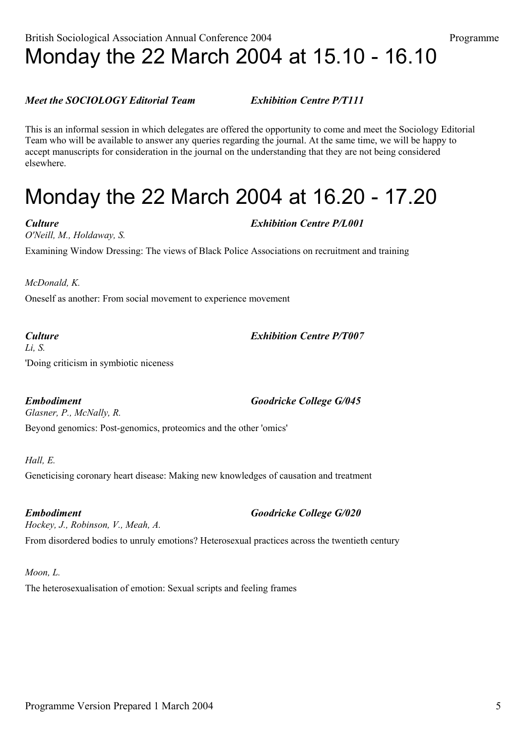## British Sociological Association Annual Conference 2004 Programme Monday the 22 March 2004 at 15.10 - 16.10

### *Meet the SOCIOLOGY Editorial Team Exhibition Centre P/T111*

This is an informal session in which delegates are offered the opportunity to come and meet the Sociology Editorial Team who will be available to answer any queries regarding the journal. At the same time, we will be happy to accept manuscripts for consideration in the journal on the understanding that they are not being considered elsewhere.

## Monday the 22 March 2004 at 16.20 - 17.20

*Culture Exhibition Centre P/L001 O'Neill, M., Holdaway, S.* Examining Window Dressing: The views of Black Police Associations on recruitment and training

*McDonald, K.*

Oneself as another: From social movement to experience movement

## *Culture Exhibition Centre P/T007*

*Li, S.* 'Doing criticism in symbiotic niceness

*Embodiment Goodricke College G/045 Glasner, P., McNally, R.*

Beyond genomics: Post-genomics, proteomics and the other 'omics'

*Hall, E.* Geneticising coronary heart disease: Making new knowledges of causation and treatment

*Embodiment Goodricke College G/020 Hockey, J., Robinson, V., Meah, A.* From disordered bodies to unruly emotions? Heterosexual practices across the twentieth century

### *Moon, L.*

The heterosexualisation of emotion: Sexual scripts and feeling frames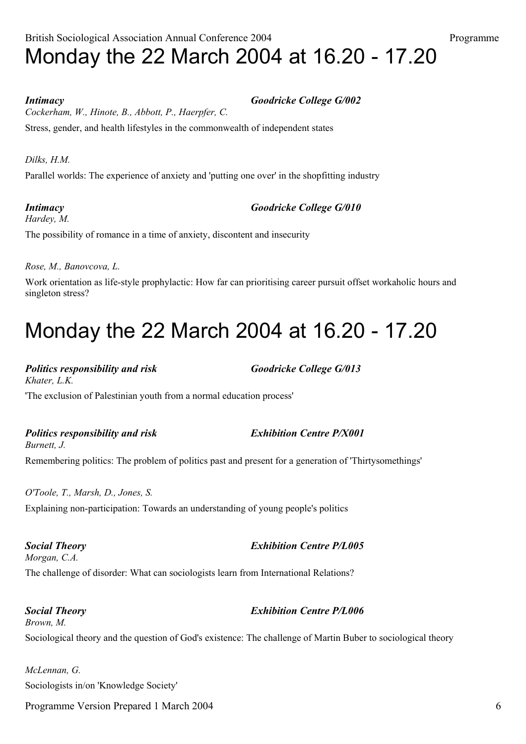## British Sociological Association Annual Conference 2004 Programme Monday the 22 March 2004 at 16.20 - 17.20

*Intimacy Goodricke College G/002 Cockerham, W., Hinote, B., Abbott, P., Haerpfer, C.* Stress, gender, and health lifestyles in the commonwealth of independent states

*Dilks, H.M.*

Parallel worlds: The experience of anxiety and 'putting one over' in the shopfitting industry

*Intimacy Goodricke College G/010 Hardey, M.* The possibility of romance in a time of anxiety, discontent and insecurity

*Rose, M., Banovcova, L.*

Work orientation as life-style prophylactic: How far can prioritising career pursuit offset workaholic hours and singleton stress?

## Monday the 22 March 2004 at 16.20 - 17.20

*Politics responsibility and risk Goodricke College G/013 Khater, L.K.* 'The exclusion of Palestinian youth from a normal education process'

*Politics responsibility and risk Exhibition Centre P/X001*

*Burnett, J.* Remembering politics: The problem of politics past and present for a generation of 'Thirtysomethings'

*O'Toole, T., Marsh, D., Jones, S.* Explaining non-participation: Towards an understanding of young people's politics

*Social Theory Exhibition Centre P/L005 Morgan, C.A.* The challenge of disorder: What can sociologists learn from International Relations?

*Social Theory Exhibition Centre P/L006 Brown, M.* Sociological theory and the question of God's existence: The challenge of Martin Buber to sociological theory

*McLennan, G.* Sociologists in/on 'Knowledge Society'

Programme Version Prepared 1 March 2004 6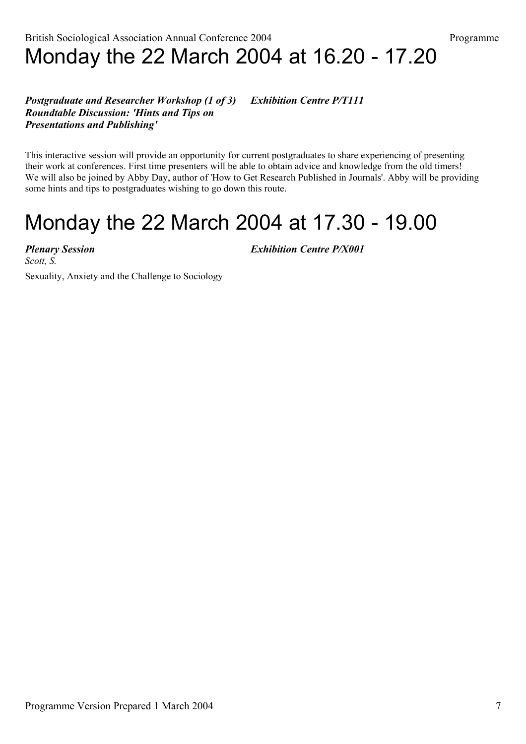### *Postgraduate and Researcher Workshop (1 of 3) Exhibition Centre P/T111 Roundtable Discussion: 'Hints and Tips on Presentations and Publishing'*

This interactive session will provide an opportunity for current postgraduates to share experiencing of presenting their work at conferences. First time presenters will be able to obtain advice and knowledge from the old timers! We will also be joined by Abby Day, author of 'How to Get Research Published in Journals'. Abby will be providing some hints and tips to postgraduates wishing to go down this route.

## Monday the 22 March 2004 at 17.30 - 19.00

*Scott, S.*

*Plenary Session Exhibition Centre P/X001*

Sexuality, Anxiety and the Challenge to Sociology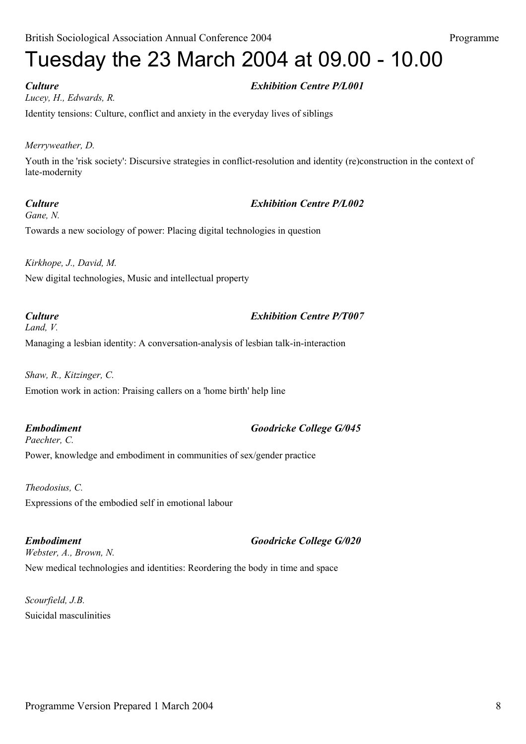# Tuesday the 23 March 2004 at 09.00 - 10.00

## *Culture Exhibition Centre P/L001*

*Lucey, H., Edwards, R.* Identity tensions: Culture, conflict and anxiety in the everyday lives of siblings

### *Merryweather, D.*

Youth in the 'risk society': Discursive strategies in conflict-resolution and identity (re)construction in the context of late-modernity

### *Culture Exhibition Centre P/L002*

*Gane, N.* Towards a new sociology of power: Placing digital technologies in question

*Kirkhope, J., David, M.* New digital technologies, Music and intellectual property

## *Land, V.*

*Culture Exhibition Centre P/T007*

Managing a lesbian identity: A conversation-analysis of lesbian talk-in-interaction

*Shaw, R., Kitzinger, C.* Emotion work in action: Praising callers on a 'home birth' help line

*Embodiment Goodricke College G/045 Paechter, C.* Power, knowledge and embodiment in communities of sex/gender practice

*Theodosius, C.* Expressions of the embodied self in emotional labour

*Embodiment Goodricke College G/020 Webster, A., Brown, N.* New medical technologies and identities: Reordering the body in time and space

*Scourfield, J.B.* Suicidal masculinities

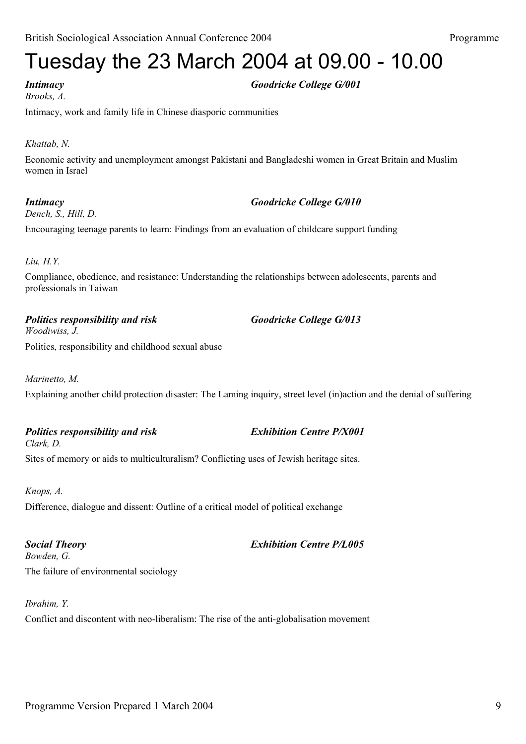# Tuesday the 23 March 2004 at 09.00 - 10.00

*Brooks, A.*

*Intimacy Goodricke College G/001*

Intimacy, work and family life in Chinese diasporic communities

## *Khattab, N.*

Economic activity and unemployment amongst Pakistani and Bangladeshi women in Great Britain and Muslim women in Israel

## *Intimacy Goodricke College G/010*

*Dench, S., Hill, D.*

Encouraging teenage parents to learn: Findings from an evaluation of childcare support funding

### *Liu, H.Y.*

Compliance, obedience, and resistance: Understanding the relationships between adolescents, parents and professionals in Taiwan

*Politics responsibility and risk Goodricke College G/013*

*Woodiwiss, J.* Politics, responsibility and childhood sexual abuse

## *Marinetto, M.*

Explaining another child protection disaster: The Laming inquiry, street level (in)action and the denial of suffering

*Politics responsibility and risk Exhibition Centre P/X001 Clark, D.*

Sites of memory or aids to multiculturalism? Conflicting uses of Jewish heritage sites.

*Knops, A.* Difference, dialogue and dissent: Outline of a critical model of political exchange

*Social Theory Exhibition Centre P/L005 Bowden, G.* The failure of environmental sociology

*Ibrahim, Y.*

Conflict and discontent with neo-liberalism: The rise of the anti-globalisation movement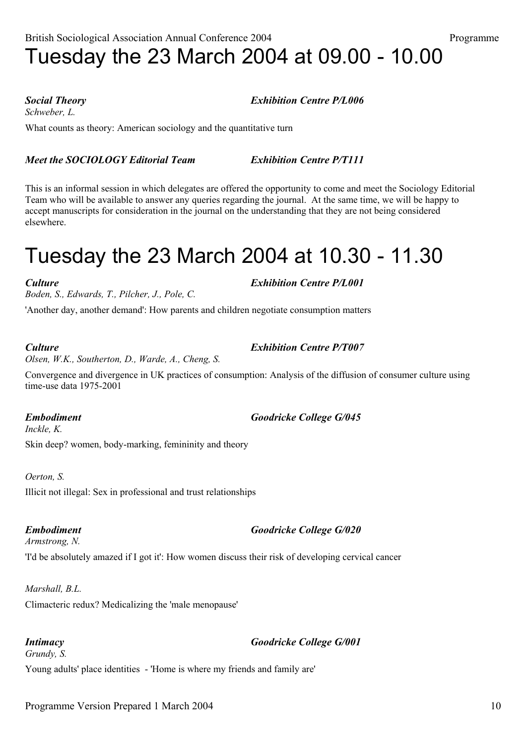*Schweber, L.*

What counts as theory: American sociology and the quantitative turn

## *Meet the SOCIOLOGY Editorial Team Exhibition Centre P/T111*

This is an informal session in which delegates are offered the opportunity to come and meet the Sociology Editorial Team who will be available to answer any queries regarding the journal. At the same time, we will be happy to accept manuscripts for consideration in the journal on the understanding that they are not being considered elsewhere.

## Tuesday the 23 March 2004 at 10.30 - 11.30

*Boden, S., Edwards, T., Pilcher, J., Pole, C.*

'Another day, another demand': How parents and children negotiate consumption matters

*Olsen, W.K., Southerton, D., Warde, A., Cheng, S.*

Convergence and divergence in UK practices of consumption: Analysis of the diffusion of consumer culture using time-use data 1975-2001

### *Embodiment Goodricke College G/045*

*Inckle, K.* Skin deep? women, body-marking, femininity and theory

*Oerton, S.*

Illicit not illegal: Sex in professional and trust relationships

*Armstrong, N.* 'I'd be absolutely amazed if I got it': How women discuss their risk of developing cervical cancer

## *Marshall, B.L.*

Climacteric redux? Medicalizing the 'male menopause'

*Intimacy Goodricke College G/001 Grundy, S.* Young adults' place identities - 'Home is where my friends and family are'

## *Culture Exhibition Centre P/T007*

## *Embodiment Goodricke College G/020*

## *Social Theory Exhibition Centre P/L006*

*Culture Exhibition Centre P/L001*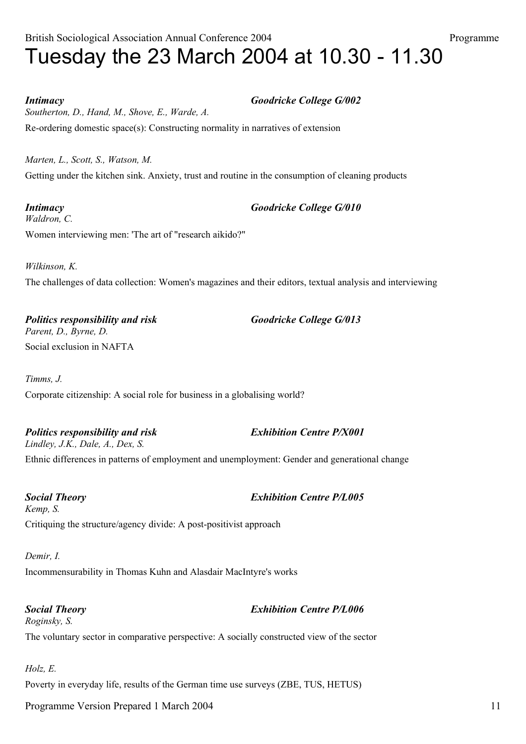## British Sociological Association Annual Conference 2004 Programme Tuesday the 23 March 2004 at 10.30 - 11.30

*Intimacy Goodricke College G/002 Southerton, D., Hand, M., Shove, E., Warde, A.* Re-ordering domestic space(s): Constructing normality in narratives of extension

*Marten, L., Scott, S., Watson, M.* Getting under the kitchen sink. Anxiety, trust and routine in the consumption of cleaning products

*Intimacy Goodricke College G/010 Waldron, C.* Women interviewing men: 'The art of "research aikido?"

*Wilkinson, K.* The challenges of data collection: Women's magazines and their editors, textual analysis and interviewing

*Politics responsibility and risk Goodricke College G/013 Parent, D., Byrne, D.* Social exclusion in NAFTA

*Timms, J.* Corporate citizenship: A social role for business in a globalising world?

*Politics responsibility and risk Exhibition Centre P/X001 Lindley, J.K., Dale, A., Dex, S.* Ethnic differences in patterns of employment and unemployment: Gender and generational change

*Social Theory Exhibition Centre P/L005 Kemp, S.* Critiquing the structure/agency divide: A post-positivist approach

*Demir, I.* Incommensurability in Thomas Kuhn and Alasdair MacIntyre's works

### *Social Theory Exhibition Centre P/L006*

*Roginsky, S.* The voluntary sector in comparative perspective: A socially constructed view of the sector

*Holz, E.* Poverty in everyday life, results of the German time use surveys (ZBE, TUS, HETUS)

Programme Version Prepared 1 March 2004 11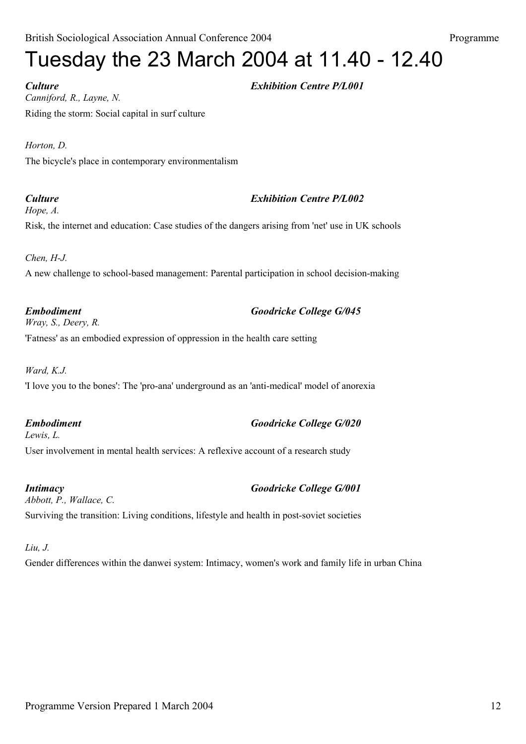# Tuesday the 23 March 2004 at 11.40 - 12.40

*Culture Exhibition Centre P/L001 Canniford, R., Layne, N.* Riding the storm: Social capital in surf culture

*Horton, D.* The bicycle's place in contemporary environmentalism

## *Culture Exhibition Centre P/L002*

*Hope, A.*

Risk, the internet and education: Case studies of the dangers arising from 'net' use in UK schools

*Chen, H-J.*

A new challenge to school-based management: Parental participation in school decision-making

*Wray, S., Deery, R.* 'Fatness' as an embodied expression of oppression in the health care setting

*Ward, K.J.*

'I love you to the bones': The 'pro-ana' underground as an 'anti-medical' model of anorexia

*Embodiment Goodricke College G/020 Lewis, L.* User involvement in mental health services: A reflexive account of a research study

*Intimacy Goodricke College G/001 Abbott, P., Wallace, C.* Surviving the transition: Living conditions, lifestyle and health in post-soviet societies

## *Liu, J.*

Gender differences within the danwei system: Intimacy, women's work and family life in urban China

*Embodiment Goodricke College G/045*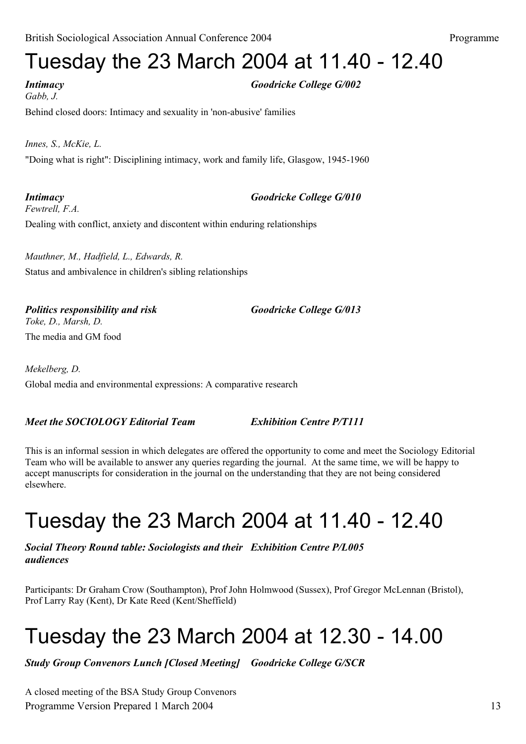## Tuesday the 23 March 2004 at 11.40 - 12.40

*Intimacy Goodricke College G/002 Gabb, J.* Behind closed doors: Intimacy and sexuality in 'non-abusive' families

*Innes, S., McKie, L.* "Doing what is right": Disciplining intimacy, work and family life, Glasgow, 1945-1960

*Intimacy Goodricke College G/010 Fewtrell, F.A.* Dealing with conflict, anxiety and discontent within enduring relationships

*Mauthner, M., Hadfield, L., Edwards, R.* Status and ambivalence in children's sibling relationships

*Politics responsibility and risk Goodricke College G/013 Toke, D., Marsh, D.* The media and GM food

*Mekelberg, D.* Global media and environmental expressions: A comparative research

## *Meet the SOCIOLOGY Editorial Team Exhibition Centre P/T111*

This is an informal session in which delegates are offered the opportunity to come and meet the Sociology Editorial Team who will be available to answer any queries regarding the journal. At the same time, we will be happy to accept manuscripts for consideration in the journal on the understanding that they are not being considered elsewhere.

## Tuesday the 23 March 2004 at 11.40 - 12.40

*Social Theory Round table: Sociologists and their Exhibition Centre P/L005 audiences*

Participants: Dr Graham Crow (Southampton), Prof John Holmwood (Sussex), Prof Gregor McLennan (Bristol), Prof Larry Ray (Kent), Dr Kate Reed (Kent/Sheffield)

## Tuesday the 23 March 2004 at 12.30 - 14.00

*Study Group Convenors Lunch [Closed Meeting] Goodricke College G/SCR*

A closed meeting of the BSA Study Group Convenors Programme Version Prepared 1 March 2004 13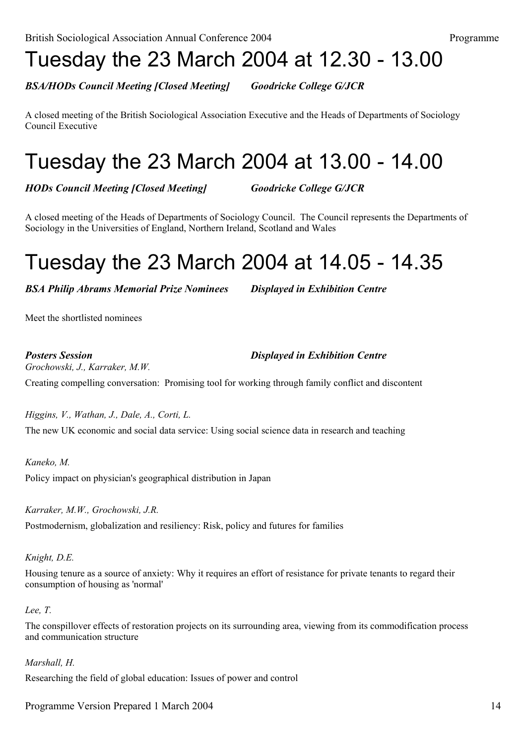## Tuesday the 23 March 2004 at 12.30 - 13.00

*BSA/HODs Council Meeting [Closed Meeting] Goodricke College G/JCR*

A closed meeting of the British Sociological Association Executive and the Heads of Departments of Sociology Council Executive

## Tuesday the 23 March 2004 at 13.00 - 14.00

*HODs Council Meeting [Closed Meeting] Goodricke College G/JCR*

A closed meeting of the Heads of Departments of Sociology Council. The Council represents the Departments of Sociology in the Universities of England, Northern Ireland, Scotland and Wales

## Tuesday the 23 March 2004 at 14.05 - 14.35

*BSA Philip Abrams Memorial Prize Nominees Displayed in Exhibition Centre*

Meet the shortlisted nominees

*Posters Session Displayed in Exhibition Centre*

*Grochowski, J., Karraker, M.W.*

Creating compelling conversation: Promising tool for working through family conflict and discontent

*Higgins, V., Wathan, J., Dale, A., Corti, L.* The new UK economic and social data service: Using social science data in research and teaching

*Kaneko, M.* Policy impact on physician's geographical distribution in Japan

*Karraker, M.W., Grochowski, J.R.* Postmodernism, globalization and resiliency: Risk, policy and futures for families

*Knight, D.E.*

Housing tenure as a source of anxiety: Why it requires an effort of resistance for private tenants to regard their consumption of housing as 'normal'

*Lee, T.*

The conspillover effects of restoration projects on its surrounding area, viewing from its commodification process and communication structure

*Marshall, H.*

Researching the field of global education: Issues of power and control

Programme Version Prepared 1 March 2004 14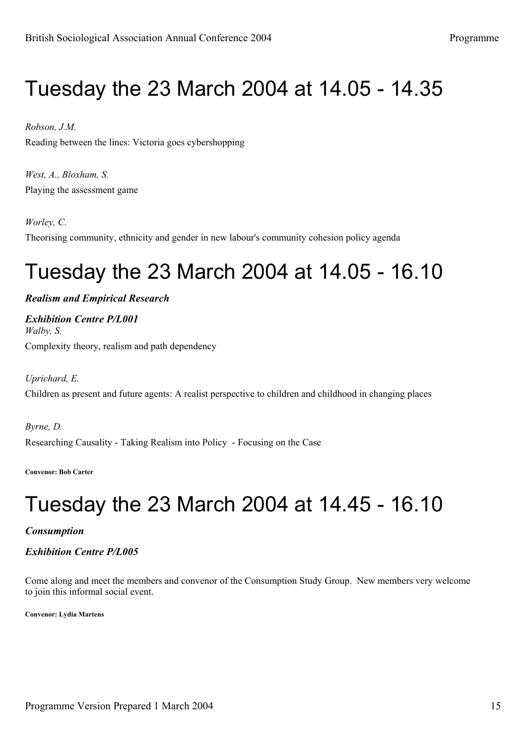## Tuesday the 23 March 2004 at 14.05 - 14.35

### *Robson, J.M.*

Reading between the lines: Victoria goes cybershopping

*West, A., Bloxham, S.* Playing the assessment game

### *Worley, C.*

Theorising community, ethnicity and gender in new labour's community cohesion policy agenda

## Tuesday the 23 March 2004 at 14.05 - 16.10

*Realism and Empirical Research*

*Exhibition Centre P/L001 Walby, S.* Complexity theory, realism and path dependency

*Uprichard, E.* Children as present and future agents: A realist perspective to children and childhood in changing places

*Byrne, D.* Researching Causality - Taking Realism into Policy - Focusing on the Case

**Convenor: Bob Carter**

# Tuesday the 23 March 2004 at 14.45 - 16.10

### *Consumption*

*Exhibition Centre P/L005*

Come along and meet the members and convenor of the Consumption Study Group. New members very welcome to join this informal social event.

**Convenor: Lydia Martens**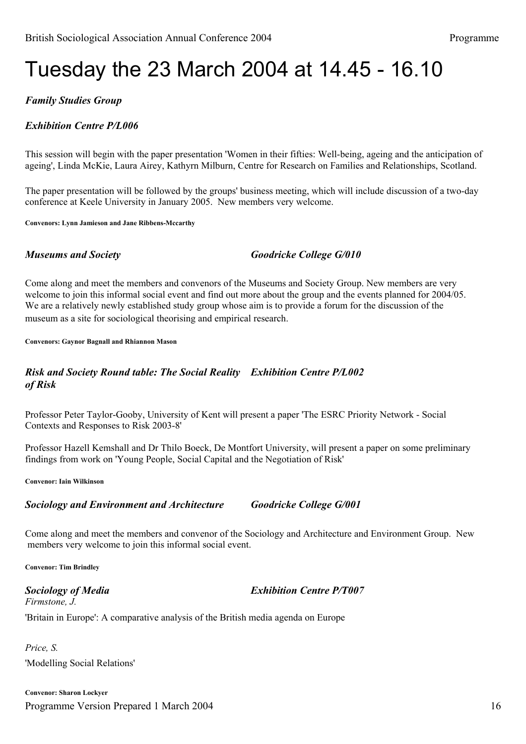## Tuesday the 23 March 2004 at 14.45 - 16.10

## *Family Studies Group*

### *Exhibition Centre P/L006*

This session will begin with the paper presentation 'Women in their fifties: Well-being, ageing and the anticipation of ageing', Linda McKie, Laura Airey, Kathyrn Milburn, Centre for Research on Families and Relationships, Scotland.

The paper presentation will be followed by the groups' business meeting, which will include discussion of a two-day conference at Keele University in January 2005. New members very welcome.

**Convenors: Lynn Jamieson and Jane Ribbens-Mccarthy**

*Museums and Society Goodricke College G/010*

Come along and meet the members and convenors of the Museums and Society Group. New members are very welcome to join this informal social event and find out more about the group and the events planned for 2004/05. We are a relatively newly established study group whose aim is to provide a forum for the discussion of the museum as a site for sociological theorising and empirical research.

**Convenors: Gaynor Bagnall and Rhiannon Mason**

### *Risk and Society Round table: The Social Reality Exhibition Centre P/L002 of Risk*

Professor Peter Taylor-Gooby, University of Kent will present a paper 'The ESRC Priority Network - Social Contexts and Responses to Risk 2003-8'

Professor Hazell Kemshall and Dr Thilo Boeck, De Montfort University, will present a paper on some preliminary findings from work on 'Young People, Social Capital and the Negotiation of Risk'

**Convenor: Iain Wilkinson**

### *Sociology and Environment and Architecture Goodricke College G/001*

Come along and meet the members and convenor of the Sociology and Architecture and Environment Group. New members very welcome to join this informal social event.

**Convenor: Tim Brindley**

*Firmstone, J.*

*Sociology of Media Exhibition Centre P/T007*

'Britain in Europe': A comparative analysis of the British media agenda on Europe

*Price, S.* 'Modelling Social Relations'

Programme Version Prepared 1 March 2004 16 **Convenor: Sharon Lockyer**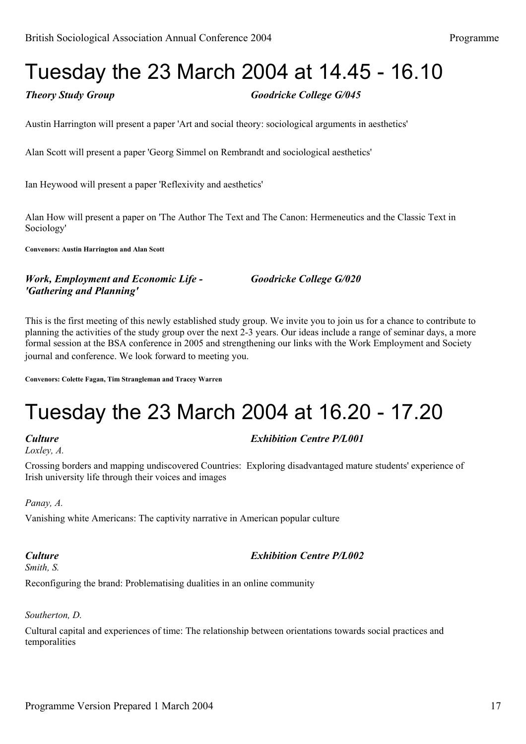## Tuesday the 23 March 2004 at 14.45 - 16.10

*Theory Study Group Goodricke College G/045*

Austin Harrington will present a paper 'Art and social theory: sociological arguments in aesthetics'

Alan Scott will present a paper 'Georg Simmel on Rembrandt and sociological aesthetics'

Ian Heywood will present a paper 'Reflexivity and aesthetics'

Alan How will present a paper on 'The Author The Text and The Canon: Hermeneutics and the Classic Text in Sociology'

**Convenors: Austin Harrington and Alan Scott**

*Work, Employment and Economic Life - Goodricke College G/020 'Gathering and Planning'*

This is the first meeting of this newly established study group. We invite you to join us for a chance to contribute to planning the activities of the study group over the next 2-3 years. Our ideas include a range of seminar days, a more formal session at the BSA conference in 2005 and strengthening our links with the Work Employment and Society journal and conference. We look forward to meeting you.

**Convenors: Colette Fagan, Tim Strangleman and Tracey Warren**

# Tuesday the 23 March 2004 at 16.20 - 17.20

*Loxley, A.*

### *Culture Exhibition Centre P/L001*

Crossing borders and mapping undiscovered Countries: Exploring disadvantaged mature students' experience of Irish university life through their voices and images

*Panay, A.*

Vanishing white Americans: The captivity narrative in American popular culture

*Smith, S.*

*Culture Exhibition Centre P/L002*

Reconfiguring the brand: Problematising dualities in an online community

### *Southerton, D.*

Cultural capital and experiences of time: The relationship between orientations towards social practices and temporalities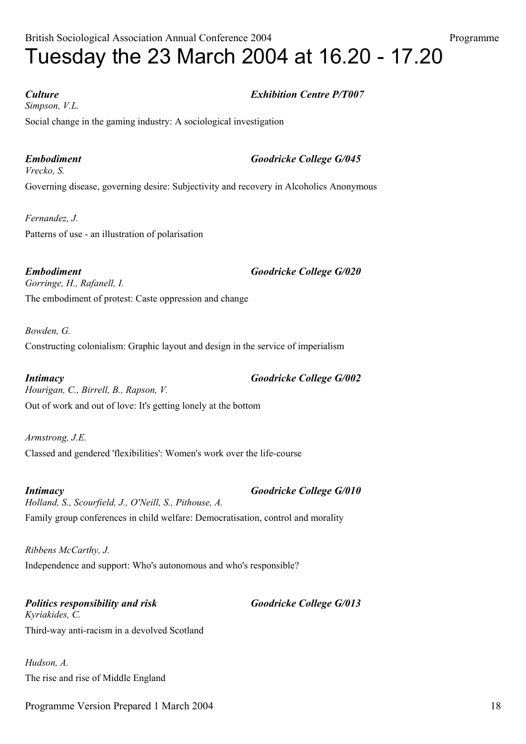*Culture Exhibition Centre P/T007 Simpson, V.L.* Social change in the gaming industry: A sociological investigation

*Embodiment Goodricke College G/045 Vrecko, S.* Governing disease, governing desire: Subjectivity and recovery in Alcoholics Anonymous

*Fernandez, J.* Patterns of use - an illustration of polarisation

*Embodiment Goodricke College G/020 Gorringe, H., Rafanell, I.* The embodiment of protest: Caste oppression and change

*Bowden, G.* Constructing colonialism: Graphic layout and design in the service of imperialism

*Intimacy Goodricke College G/002 Hourigan, C., Birrell, B., Rapson, V.* Out of work and out of love: It's getting lonely at the bottom

*Armstrong, J.E.* Classed and gendered 'flexibilities': Women's work over the life-course

*Intimacy Goodricke College G/010 Holland, S., Scourfield, J., O'Neill, S., Pithouse, A.* Family group conferences in child welfare: Democratisation, control and morality

*Ribbens McCarthy, J.* Independence and support: Who's autonomous and who's responsible?

*Politics responsibility and risk Goodricke College G/013 Kyriakides, C.* Third-way anti-racism in a devolved Scotland

*Hudson, A.* The rise and rise of Middle England

Programme Version Prepared 1 March 2004 18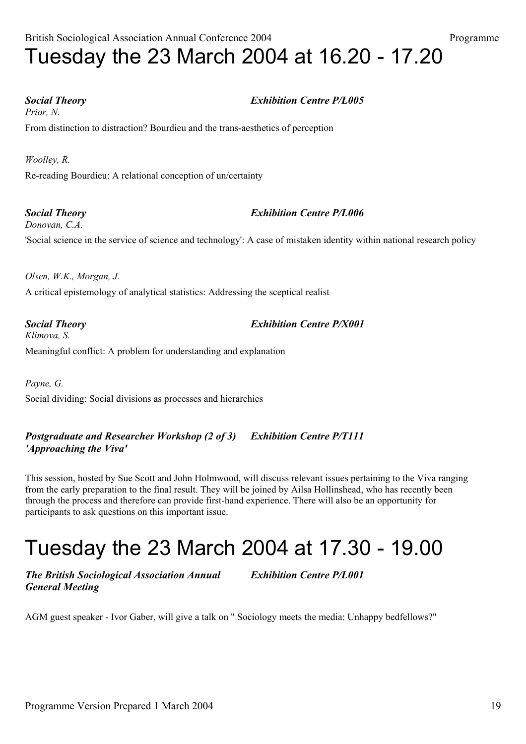*Prior, N.*

From distinction to distraction? Bourdieu and the trans-aesthetics of perception

*Woolley, R.* Re-reading Bourdieu: A relational conception of un/certainty

*Social Theory Exhibition Centre P/L006 Donovan, C.A.* 'Social science in the service of science and technology': A case of mistaken identity within national research policy

*Olsen, W.K., Morgan, J.* A critical epistemology of analytical statistics: Addressing the sceptical realist

*Social Theory Exhibition Centre P/X001 Klimova, S.* Meaningful conflict: A problem for understanding and explanation

*Payne, G.* Social dividing: Social divisions as processes and hierarchies

*Postgraduate and Researcher Workshop (2 of 3) Exhibition Centre P/T111 'Approaching the Viva'*

This session, hosted by Sue Scott and John Holmwood, will discuss relevant issues pertaining to the Viva ranging from the early preparation to the final result. They will be joined by Ailsa Hollinshead, who has recently been through the process and therefore can provide first-hand experience. There will also be an opportunity for participants to ask questions on this important issue.

## Tuesday the 23 March 2004 at 17.30 - 19.00

*The British Sociological Association Annual Exhibition Centre P/L001 General Meeting*

AGM guest speaker - Ivor Gaber, will give a talk on " Sociology meets the media: Unhappy bedfellows?"

## *Social Theory Exhibition Centre P/L005*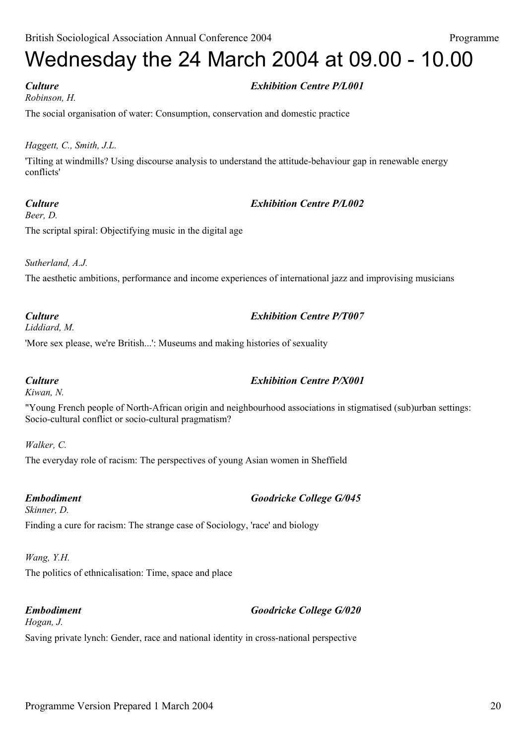### *Robinson, H.*

## *Culture Exhibition Centre P/L001*

The social organisation of water: Consumption, conservation and domestic practice

### *Haggett, C., Smith, J.L.*

'Tilting at windmills? Using discourse analysis to understand the attitude-behaviour gap in renewable energy conflicts'

### *Culture Exhibition Centre P/L002*

*Beer, D.* The scriptal spiral: Objectifying music in the digital age

*Sutherland, A.J.*

The aesthetic ambitions, performance and income experiences of international jazz and improvising musicians

## *Culture Exhibition Centre P/T007*

*Liddiard, M.*

'More sex please, we're British...': Museums and making histories of sexuality

*Kiwan, N.*

"Young French people of North-African origin and neighbourhood associations in stigmatised (sub)urban settings: Socio-cultural conflict or socio-cultural pragmatism?

*Walker, C.*

The everyday role of racism: The perspectives of young Asian women in Sheffield

## *Embodiment Goodricke College G/045*

*Skinner, D.* Finding a cure for racism: The strange case of Sociology, 'race' and biology

### *Wang, Y.H.*

The politics of ethnicalisation: Time, space and place

*Embodiment Goodricke College G/020*

## *Hogan, J.* Saving private lynch: Gender, race and national identity in cross-national perspective

## *Culture Exhibition Centre P/X001*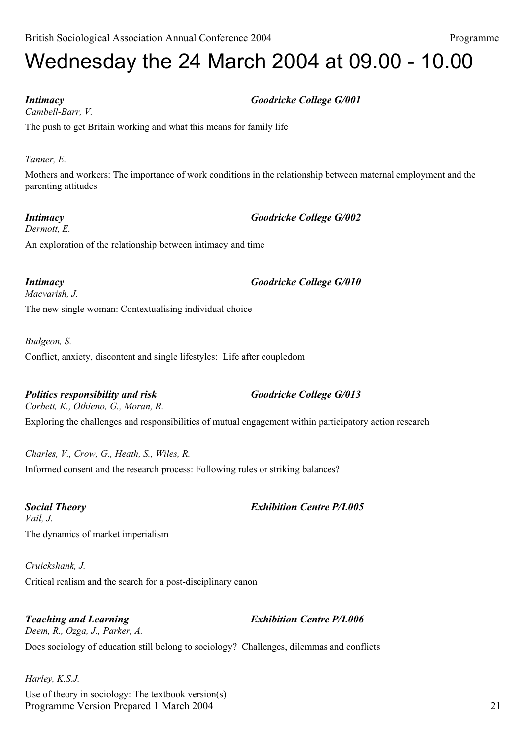## Wednesday the 24 March 2004 at 09.00 - 10.00

*Cambell-Barr, V.*

The push to get Britain working and what this means for family life

*Tanner, E.*

Mothers and workers: The importance of work conditions in the relationship between maternal employment and the parenting attitudes

*Intimacy Goodricke College G/002 Dermott, E.*

An exploration of the relationship between intimacy and time

*Macvarish, J.*

The new single woman: Contextualising individual choice

*Budgeon, S.*

Conflict, anxiety, discontent and single lifestyles: Life after coupledom

*Politics responsibility and risk Goodricke College G/013*

*Corbett, K., Othieno, G., Moran, R.* Exploring the challenges and responsibilities of mutual engagement within participatory action research

*Charles, V., Crow, G., Heath, S., Wiles, R.* Informed consent and the research process: Following rules or striking balances?

*Social Theory Exhibition Centre P/L005 Vail, J.* The dynamics of market imperialism

*Cruickshank, J.* Critical realism and the search for a post-disciplinary canon

*Teaching and Learning Exhibition Centre P/L006 Deem, R., Ozga, J., Parker, A.* Does sociology of education still belong to sociology? Challenges, dilemmas and conflicts

*Harley, K.S.J.* Programme Version Prepared 1 March 2004 21 Use of theory in sociology: The textbook version(s)

## *Intimacy Goodricke College G/001*

## *Intimacy Goodricke College G/010*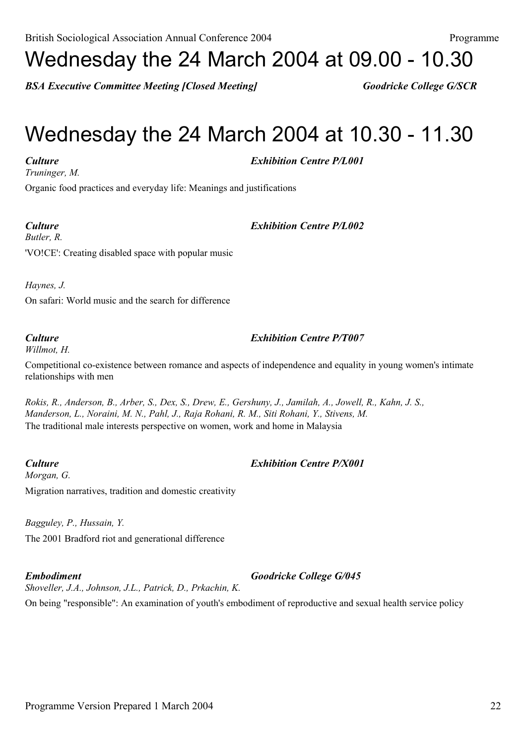# Wednesday the 24 March 2004 at 09.00 - 10.30

*BSA Executive Committee Meeting [Closed Meeting] Goodricke College G/SCR*

## Wednesday the 24 March 2004 at 10.30 - 11.30

*Culture Exhibition Centre P/L001*

*Truninger, M.*

Organic food practices and everyday life: Meanings and justifications

*Culture Exhibition Centre P/L002*

*Butler, R.* 'VO!CE': Creating disabled space with popular music

*Haynes, J.*

On safari: World music and the search for difference

*Willmot, H.*

Competitional co-existence between romance and aspects of independence and equality in young women's intimate relationships with men

*Rokis, R., Anderson, B., Arber, S., Dex, S., Drew, E., Gershuny, J., Jamilah, A., Jowell, R., Kahn, J. S., Manderson, L., Noraini, M. N., Pahl, J., Raja Rohani, R. M., Siti Rohani, Y., Stivens, M.* The traditional male interests perspective on women, work and home in Malaysia

*Culture Exhibition Centre P/X001 Morgan, G.* Migration narratives, tradition and domestic creativity

*Bagguley, P., Hussain, Y.* The 2001 Bradford riot and generational difference

*Embodiment Goodricke College G/045 Shoveller, J.A., Johnson, J.L., Patrick, D., Prkachin, K.*

On being "responsible": An examination of youth's embodiment of reproductive and sexual health service policy

## *Culture Exhibition Centre P/T007*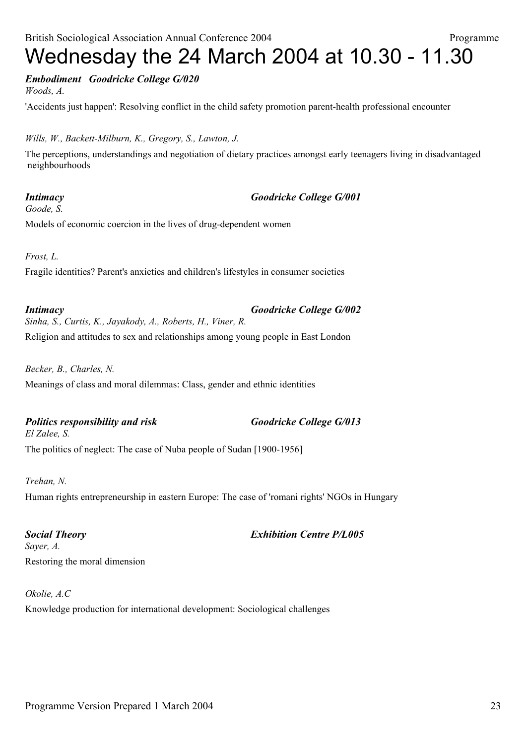## *Embodiment Goodricke College G/020*

*Woods, A.*

'Accidents just happen': Resolving conflict in the child safety promotion parent-health professional encounter

### *Wills, W., Backett-Milburn, K., Gregory, S., Lawton, J.*

The perceptions, understandings and negotiation of dietary practices amongst early teenagers living in disadvantaged neighbourhoods

## *Goode, S.*

*Intimacy Goodricke College G/001*

Models of economic coercion in the lives of drug-dependent women

*Frost, L.*

Fragile identities? Parent's anxieties and children's lifestyles in consumer societies

*Intimacy Goodricke College G/002 Sinha, S., Curtis, K., Jayakody, A., Roberts, H., Viner, R.* Religion and attitudes to sex and relationships among young people in East London

*Becker, B., Charles, N.* Meanings of class and moral dilemmas: Class, gender and ethnic identities

## *Politics responsibility and risk Goodricke College G/013*

The politics of neglect: The case of Nuba people of Sudan [1900-1956]

*Trehan, N.*

*El Zalee, S.*

Human rights entrepreneurship in eastern Europe: The case of 'romani rights' NGOs in Hungary

# *Sayer, A.*

### *Social Theory Exhibition Centre P/L005*

Restoring the moral dimension

*Okolie, A.C*

Knowledge production for international development: Sociological challenges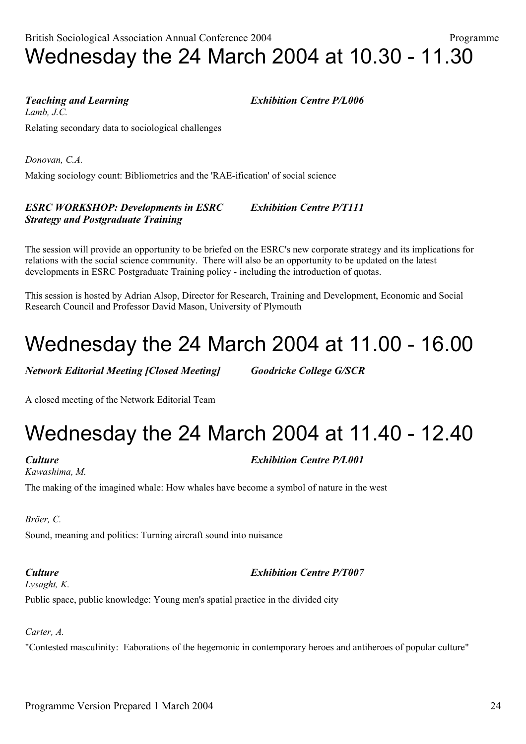Making sociology count: Bibliometrics and the 'RAE-ification' of social science

## *ESRC WORKSHOP: Developments in ESRC Exhibition Centre P/T111 Strategy and Postgraduate Training*

Relating secondary data to sociological challenges

The session will provide an opportunity to be briefed on the ESRC's new corporate strategy and its implications for relations with the social science community. There will also be an opportunity to be updated on the latest developments in ESRC Postgraduate Training policy - including the introduction of quotas.

This session is hosted by Adrian Alsop, Director for Research, Training and Development, Economic and Social Research Council and Professor David Mason, University of Plymouth

## Wednesday the 24 March 2004 at 11.00 - 16.00

*Network Editorial Meeting [Closed Meeting] Goodricke College G/SCR*

A closed meeting of the Network Editorial Team

# Wednesday the 24 March 2004 at 11.40 - 12.40

*Kawashima, M.*

*Lamb, J.C.*

*Culture Exhibition Centre P/L001*

The making of the imagined whale: How whales have become a symbol of nature in the west

*Bröer, C.*

Sound, meaning and politics: Turning aircraft sound into nuisance

*Culture Exhibition Centre P/T007*

*Lysaght, K.* Public space, public knowledge: Young men's spatial practice in the divided city

*Carter, A.*

"Contested masculinity: Eaborations of the hegemonic in contemporary heroes and antiheroes of popular culture"

## British Sociological Association Annual Conference 2004 Programme Wednesday the 24 March 2004 at 10.30 - 11.30

*Teaching and Learning Exhibition Centre P/L006*

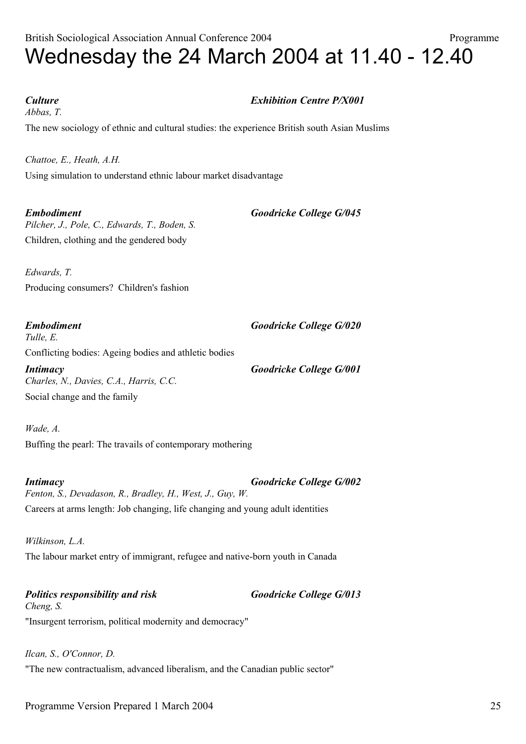*Abbas, T.*

*Culture Exhibition Centre P/X001*

The new sociology of ethnic and cultural studies: the experience British south Asian Muslims

*Chattoe, E., Heath, A.H.* Using simulation to understand ethnic labour market disadvantage

*Embodiment Goodricke College G/045 Pilcher, J., Pole, C., Edwards, T., Boden, S.* Children, clothing and the gendered body

*Edwards, T.* Producing consumers? Children's fashion

*Embodiment Goodricke College G/020 Tulle, E.* Conflicting bodies: Ageing bodies and athletic bodies

*Intimacy Goodricke College G/001 Charles, N., Davies, C.A., Harris, C.C.* Social change and the family

*Wade, A.* Buffing the pearl: The travails of contemporary mothering

*Intimacy Goodricke College G/002 Fenton, S., Devadason, R., Bradley, H., West, J., Guy, W.* Careers at arms length: Job changing, life changing and young adult identities

*Wilkinson, L.A.* The labour market entry of immigrant, refugee and native-born youth in Canada

*Politics responsibility and risk Goodricke College G/013 Cheng, S.* "Insurgent terrorism, political modernity and democracy"

*Ilcan, S., O'Connor, D.* "The new contractualism, advanced liberalism, and the Canadian public sector"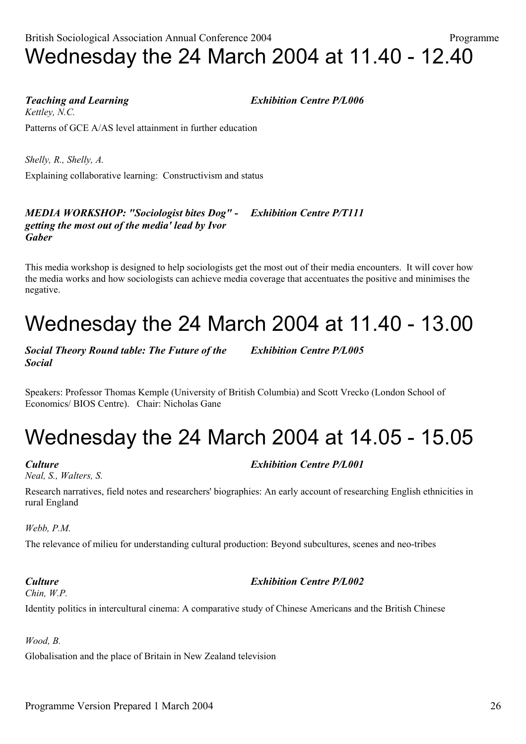Programme Version Prepared 1 March 2004 2004

## British Sociological Association Annual Conference 2004 Programme Wednesday the 24 March 2004 at 11.40 - 12.40

*Teaching and Learning Exhibition Centre P/L006*

*Kettley, N.C.* Patterns of GCE A/AS level attainment in further education

*Shelly, R., Shelly, A.* Explaining collaborative learning: Constructivism and status

### *MEDIA WORKSHOP: "Sociologist bites Dog" - Exhibition Centre P/T111 getting the most out of the media' lead by Ivor Gaber*

This media workshop is designed to help sociologists get the most out of their media encounters. It will cover how the media works and how sociologists can achieve media coverage that accentuates the positive and minimises the negative.

# Wednesday the 24 March 2004 at 11.40 - 13.00

*Social Theory Round table: The Future of the Exhibition Centre P/L005 Social*

Speakers: Professor Thomas Kemple (University of British Columbia) and Scott Vrecko (London School of Economics/ BIOS Centre). Chair: Nicholas Gane

## Wednesday the 24 March 2004 at 14.05 - 15.05

*Neal, S., Walters, S.*

Research narratives, field notes and researchers' biographies: An early account of researching English ethnicities in rural England

*Webb, P.M.*

The relevance of milieu for understanding cultural production: Beyond subcultures, scenes and neo-tribes

### *Culture Exhibition Centre P/L002 Chin, W.P.*

Identity politics in intercultural cinema: A comparative study of Chinese Americans and the British Chinese

*Wood, B.*

Globalisation and the place of Britain in New Zealand television

## *Culture Exhibition Centre P/L001*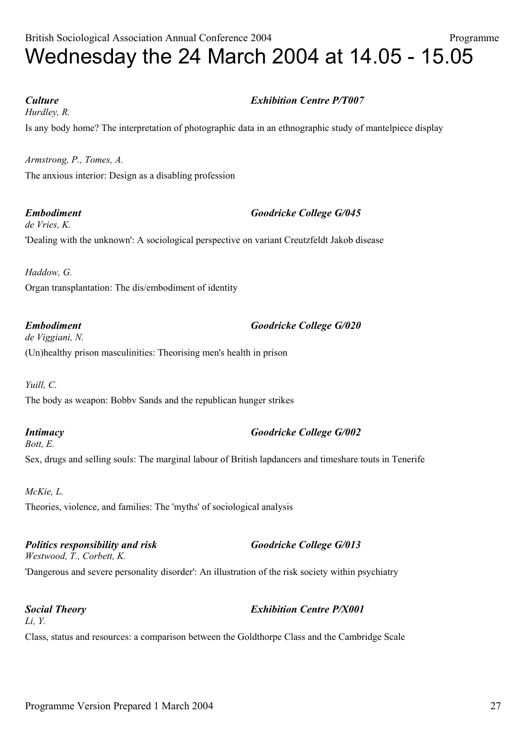British Sociological Association Annual Conference 2004 Programme

*Hurdley, R.*

Is any body home? The interpretation of photographic data in an ethnographic study of mantelpiece display

*Armstrong, P., Tomes, A.* The anxious interior: Design as a disabling profession

*Embodiment Goodricke College G/045 de Vries, K.* 'Dealing with the unknown': A sociological perspective on variant Creutzfeldt Jakob disease

*Haddow, G.* Organ transplantation: The dis/embodiment of identity

*Embodiment Goodricke College G/020 de Viggiani, N.* (Un)healthy prison masculinities: Theorising men's health in prison

*Yuill, C.* The body as weapon: Bobbv Sands and the republican hunger strikes

*Intimacy Goodricke College G/002 Bott, E.* Sex, drugs and selling souls: The marginal labour of British lapdancers and timeshare touts in Tenerife

*McKie, L.* Theories, violence, and families: The 'myths' of sociological analysis

*Politics responsibility and risk Goodricke College G/013 Westwood, T., Corbett, K.*

'Dangerous and severe personality disorder': An illustration of the risk society within psychiatry

*Social Theory Exhibition Centre P/X001 Li, Y.*

Class, status and resources: a comparison between the Goldthorpe Class and the Cambridge Scale

## *Culture Exhibition Centre P/T007*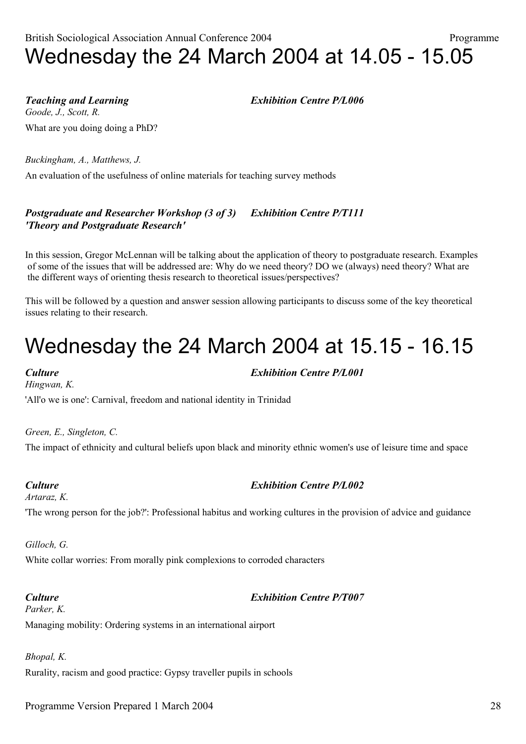*Teaching and Learning Exhibition Centre P/L006 Goode, J., Scott, R.*

What are you doing doing a PhD?

*Buckingham, A., Matthews, J.*

An evaluation of the usefulness of online materials for teaching survey methods

## *Postgraduate and Researcher Workshop (3 of 3) Exhibition Centre P/T111 'Theory and Postgraduate Research'*

In this session, Gregor McLennan will be talking about the application of theory to postgraduate research. Examples of some of the issues that will be addressed are: Why do we need theory? DO we (always) need theory? What are the different ways of orienting thesis research to theoretical issues/perspectives?

This will be followed by a question and answer session allowing participants to discuss some of the key theoretical issues relating to their research.

## Wednesday the 24 March 2004 at 15.15 - 16.15

*Hingwan, K.*

*Culture Exhibition Centre P/L001*

'All'o we is one': Carnival, freedom and national identity in Trinidad

*Green, E., Singleton, C.*

The impact of ethnicity and cultural beliefs upon black and minority ethnic women's use of leisure time and space

### *Culture Exhibition Centre P/L002*

*Artaraz, K.*

'The wrong person for the job?': Professional habitus and working cultures in the provision of advice and guidance

*Gilloch, G.*

White collar worries: From morally pink complexions to corroded characters

*Parker, K.*

### *Culture Exhibition Centre P/T007*

Managing mobility: Ordering systems in an international airport

*Bhopal, K.*

Rurality, racism and good practice: Gypsy traveller pupils in schools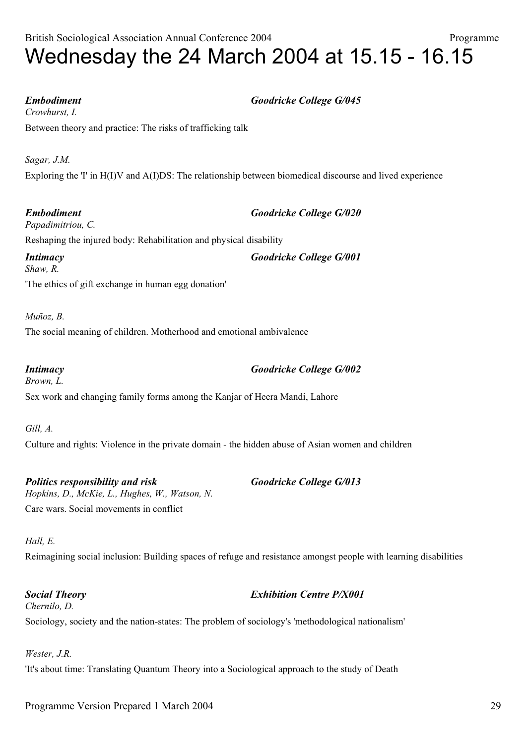*Embodiment Goodricke College G/045*

*Crowhurst, I.* Between theory and practice: The risks of trafficking talk

*Sagar, J.M.* Exploring the 'I' in H(I)V and A(I)DS: The relationship between biomedical discourse and lived experience

*Embodiment Goodricke College G/020 Papadimitriou, C.* Reshaping the injured body: Rehabilitation and physical disability *Intimacy Goodricke College G/001*

*Shaw, R.* 'The ethics of gift exchange in human egg donation'

*Muñoz, B.*

The social meaning of children. Motherhood and emotional ambivalence

*Intimacy Goodricke College G/002 Brown, L.* Sex work and changing family forms among the Kanjar of Heera Mandi, Lahore

*Gill, A.* Culture and rights: Violence in the private domain - the hidden abuse of Asian women and children

*Politics responsibility and risk Goodricke College G/013 Hopkins, D., McKie, L., Hughes, W., Watson, N.* Care wars. Social movements in conflict

### *Hall, E.*

Reimagining social inclusion: Building spaces of refuge and resistance amongst people with learning disabilities

### *Social Theory Exhibition Centre P/X001*

*Chernilo, D.* Sociology, society and the nation-states: The problem of sociology's 'methodological nationalism'

*Wester, J.R.*

'It's about time: Translating Quantum Theory into a Sociological approach to the study of Death